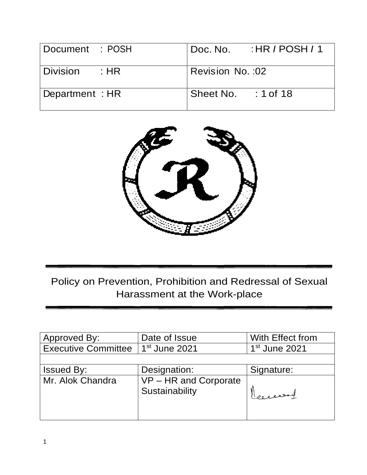| Document : POSH      | $H \cdot H \cdot P$ / POSH / 1<br>Doc. No. |
|----------------------|--------------------------------------------|
| Division<br>$\pm$ HR | Revision No. : 02                          |
| Department: HR       | $: 1$ of 18<br>Sheet No.                   |



Policy on Prevention, Prohibition and Redressal of Sexual Harassment at the Work-place

| Approved By:               | Date of Issue                           | With Effect from |
|----------------------------|-----------------------------------------|------------------|
| <b>Executive Committee</b> | $1st$ June 2021                         | $1st$ June 2021  |
|                            |                                         |                  |
| <b>Issued By:</b>          | Designation:                            | Signature:       |
| Mr. Alok Chandra           | VP - HR and Corporate<br>Sustainability | Herresset        |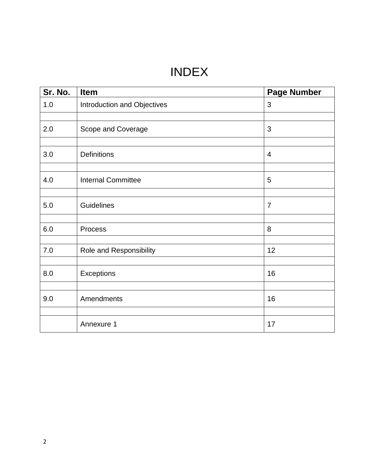# INDEX

| Sr. No. | Item                        | <b>Page Number</b> |
|---------|-----------------------------|--------------------|
| 1.0     | Introduction and Objectives | $\mathfrak{B}$     |
|         |                             |                    |
| 2.0     | Scope and Coverage          | 3                  |
|         |                             |                    |
| 3.0     | <b>Definitions</b>          | $\overline{4}$     |
|         |                             |                    |
| 4.0     | <b>Internal Committee</b>   | 5                  |
|         |                             |                    |
| 5.0     | Guidelines                  | $\overline{7}$     |
|         |                             |                    |
| 6.0     | Process                     | 8                  |
|         |                             |                    |
| 7.0     | Role and Responsibility     | 12                 |
|         |                             |                    |
| 8.0     | Exceptions                  | 16                 |
|         |                             |                    |
| 9.0     | Amendments                  | 16                 |
|         |                             |                    |
|         | Annexure 1                  | 17                 |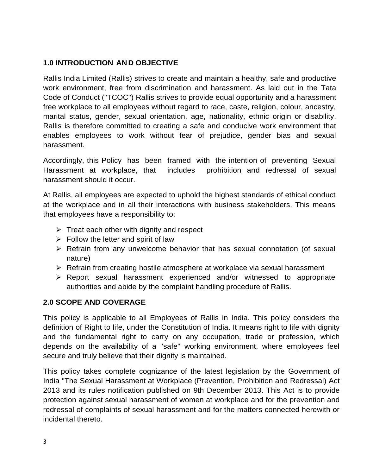# **1.0 INTRODUCTION AN D OBJECTIVE**

Rallis India Limited (Rallis) strives to create and maintain a healthy, safe and productive work environment, free from discrimination and harassment. As laid out in the Tata Code of Conduct ("TCOC") Rallis strives to provide equal opportunity and a harassment free workplace to all employees without regard to race, caste, religion, colour, ancestry, marital status, gender, sexual orientation, age, nationality, ethnic origin or disability. Rallis is therefore committed to creating a safe and conducive work environment that enables employees to work without fear of prejudice, gender bias and sexual harassment.

Accordingly, this Policy has been framed with the intention of preventing Sexual Harassment at workplace, that includes prohibition and redressal of sexual harassment should it occur.

At Rallis, all employees are expected to uphold the highest standards of ethical conduct at the workplace and in all their interactions with business stakeholders. This means that employees have a responsibility to:

- $\triangleright$  Treat each other with dignity and respect
- $\triangleright$  Follow the letter and spirit of law
- $\triangleright$  Refrain from any unwelcome behavior that has sexual connotation (of sexual nature)
- $\triangleright$  Refrain from creating hostile atmosphere at workplace via sexual harassment
- $\triangleright$  Report sexual harassment experienced and/or witnessed to appropriate authorities and abide by the complaint handling procedure of Rallis.

#### **2.0 SCOPE AND COVERAGE**

This policy is applicable to all Employees of Rallis in India. This policy considers the definition of Right to life, under the Constitution of India. It means right to life with dignity and the fundamental right to carry on any occupation, trade or profession, which depends on the availability of a ''safe'' working environment, where employees feel secure and truly believe that their dignity is maintained.

This policy takes complete cognizance of the latest legislation by the Government of India ''The Sexual Harassment at Workplace (Prevention, Prohibition and Redressal) Act 2013 and its rules notification published on 9th December 2013. This Act is to provide protection against sexual harassment of women at workplace and for the prevention and redressal of complaints of sexual harassment and for the matters connected herewith or incidental thereto.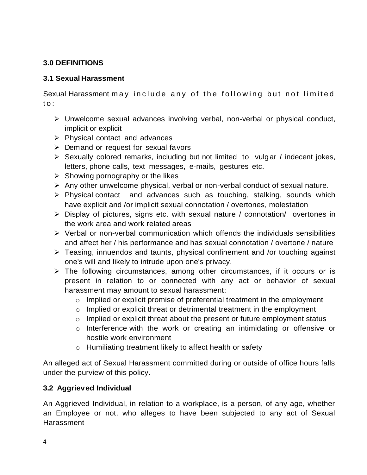# **3.0 DEFINITIONS**

## **3.1 Sexual Harassment**

Sexual Harassment may include any of the following but not limited to:

- Unwelcome sexual advances involving verbal, non-verbal or physical conduct, implicit or explicit
- $\triangleright$  Physical contact and advances
- $\triangleright$  Demand or request for sexual favors
- Sexually colored remarks, including but not limited to vulgar *I* indecent jokes, letters, phone calls, text messages, e-mails, gestures etc.
- $\triangleright$  Showing pornography or the likes
- $\triangleright$  Any other unwelcome physical, verbal or non-verbal conduct of sexual nature.
- $\triangleright$  Physical contact and advances such as touching, stalking, sounds which have explicit and /or implicit sexual connotation / overtones, molestation
- $\triangleright$  Display of pictures, signs etc. with sexual nature / connotation/ overtones in the work area and work related areas
- $\triangleright$  Verbal or non-verbal communication which offends the individuals sensibilities and affect her / his performance and has sexual connotation / overtone / nature
- Teasing, innuendos and taunts, physical confinement and /or touching against one's will and likely to intrude upon one's privacy.
- $\triangleright$  The following circumstances, among other circumstances, if it occurs or is present in relation to or connected with any act or behavior of sexual harassment may amount to sexual harassment:
	- o Implied or explicit promise of preferential treatment in the employment
	- $\circ$  Implied or explicit threat or detrimental treatment in the employment
	- o Implied or explicit threat about the present or future employment status
	- o Interference with the work or creating an intimidating or offensive or hostile work environment
	- o Humiliating treatment likely to affect health or safety

An alleged act of Sexual Harassment committed during or outside of office hours falls under the purview of this policy.

# **3.2 Aggrieved Individual**

An Aggrieved Individual, in relation to a workplace, is a person, of any age, whether an Employee or not, who alleges to have been subjected to any act of Sexual **Harassment**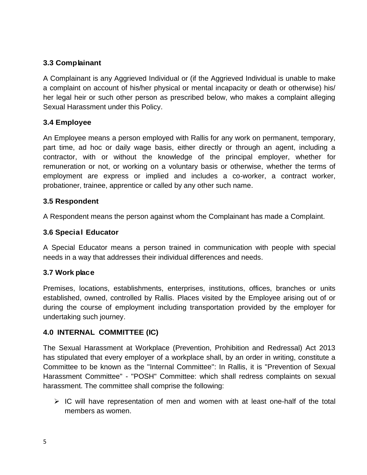## **3.3 Complainant**

A Complainant is any Aggrieved Individual or (if the Aggrieved Individual is unable to make a complaint on account of his/her physical or mental incapacity or death or otherwise) his/ her legal heir or such other person as prescribed below, who makes a complaint alleging Sexual Harassment under this Policy.

#### **3.4 Employee**

An Employee means a person employed with Rallis for any work on permanent, temporary, part time, ad hoc or daily wage basis, either directly or through an agent, including a contractor, with or without the knowledge of the principal employer, whether for remuneration or not, or working on a voluntary basis or otherwise, whether the terms of employment are express or implied and includes a co-worker, a contract worker, probationer, trainee, apprentice or called by any other such name.

#### **3.5 Respondent**

A Respondent means the person against whom the Complainant has made a Complaint.

#### **3.6 Special Educator**

A Special Educator means a person trained in communication with people with special needs in a way that addresses their individual differences and needs.

#### **3.7 Work place**

Premises, locations, establishments, enterprises, institutions, offices, branches or units established, owned, controlled by Rallis. Places visited by the Employee arising out of or during the course of employment including transportation provided by the employer for undertaking such journey.

#### **4.0 INTERNAL COMMITTEE (IC)**

The Sexual Harassment at Workplace (Prevention, Prohibition and Redressal) Act 2013 has stipulated that every employer of a workplace shall, by an order in writing, constitute a Committee to be known as the ''Internal Committee'': In Rallis, it is "Prevention of Sexual Harassment Committee" - "POSH" Committee: which shall redress complaints on sexual harassment. The committee shall comprise the following:

 $\triangleright$  IC will have representation of men and women with at least one-half of the total members as women.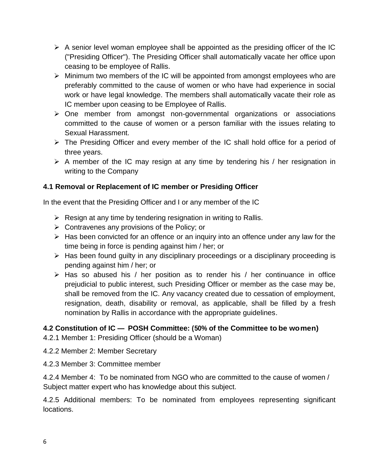- $\triangleright$  A senior level woman employee shall be appointed as the presiding officer of the IC ("Presiding Officer"). The Presiding Officer shall automatically vacate her office upon ceasing to be employee of Rallis.
- $\triangleright$  Minimum two members of the IC will be appointed from amongst employees who are preferably committed to the cause of women or who have had experience in social work or have legal knowledge. The members shall automatically vacate their role as IC member upon ceasing to be Employee of Rallis.
- $\triangleright$  One member from amongst non-governmental organizations or associations committed to the cause of women or a person familiar with the issues relating to Sexual Harassment.
- $\triangleright$  The Presiding Officer and every member of the IC shall hold office for a period of three years.
- $\triangleright$  A member of the IC may resign at any time by tendering his / her resignation in writing to the Company

# **4.1 Removal or Replacement of IC member or Presiding Officer**

In the event that the Presiding Officer and I or any member of the IC

- $\triangleright$  Resign at any time by tendering resignation in writing to Rallis.
- $\triangleright$  Contravenes any provisions of the Policy; or
- $\triangleright$  Has been convicted for an offence or an inquiry into an offence under any law for the time being in force is pending against him / her; or
- $\triangleright$  Has been found guilty in any disciplinary proceedings or a disciplinary proceeding is pending against him / her; or
- $\triangleright$  Has so abused his / her position as to render his / her continuance in office prejudicial to public interest, such Presiding Officer or member as the case may be, shall be removed from the IC. Any vacancy created due to cessation of employment, resignation, death, disability or removal, as applicable, shall be filled by a fresh nomination by Rallis in accordance with the appropriate guidelines.

# **4.2 Constitution of IC – POSH Committee: (50% of the Committee to be women)**

- 4.2.1 Member 1: Presiding Officer (should be a Woman)
- 4.2.2 Member 2: Member Secretary
- 4.2.3 Member 3: Committee member

4.2.4 Member 4: To be nominated from NGO who are committed to the cause of women / Subject matter expert who has knowledge about this subject.

4.2.5 Additional members: To be nominated from employees representing significant locations.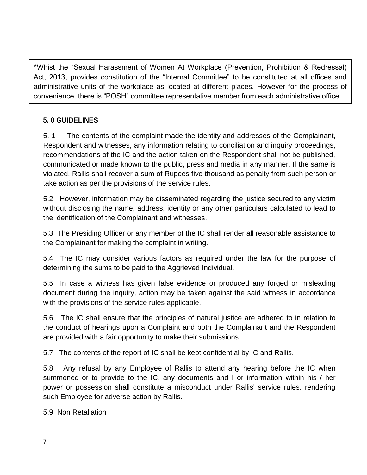\*Whist the "Sexual Harassment of Women At Workplace (Prevention, Prohibition & Redressal) Act, 2013, provides constitution of the "Internal Committee" to be constituted at all offices and administrative units of the workplace as located at different places. However for the process of convenience, there is "POSH" committee representative member from each administrative office

# **5. 0 GUIDELINES**

5. 1 The contents of the complaint made the identity and addresses of the Complainant, Respondent and witnesses, any information relating to conciliation and inquiry proceedings, recommendations of the IC and the action taken on the Respondent shall not be published, communicated or made known to the public, press and media in any manner. If the same is violated, Rallis shall recover a sum of Rupees five thousand as penalty from such person or take action as per the provisions of the service rules.

5.2 However, information may be disseminated regarding the justice secured to any victim without disclosing the name, address, identity or any other particulars calculated to lead to the identification of the Complainant and witnesses.

5.3 The Presiding Officer or any member of the IC shall render all reasonable assistance to the Complainant for making the complaint in writing.

5.4 The IC may consider various factors as required under the law for the purpose of determining the sums to be paid to the Aggrieved Individual.

5.5 In case a witness has given false evidence or produced any forged or misleading document during the inquiry, action may be taken against the said witness in accordance with the provisions of the service rules applicable.

5.6 The IC shall ensure that the principles of natural justice are adhered to in relation to the conduct of hearings upon a Complaint and both the Complainant and the Respondent are provided with a fair opportunity to make their submissions.

5.7 The contents of the report of IC shall be kept confidential by IC and Rallis.

5.8 Any refusal by any Employee of Rallis to attend any hearing before the IC when summoned or to provide to the IC, any documents and I or information within his / her power or possession shall constitute a misconduct under Rallis' service rules, rendering such Employee for adverse action by Rallis.

5.9 Non Retaliation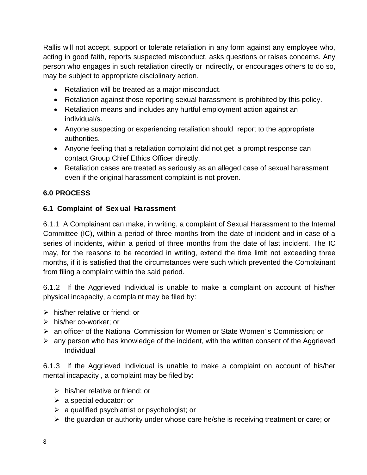Rallis will not accept, support or tolerate retaliation in any form against any employee who, acting in good faith, reports suspected misconduct, asks questions or raises concerns. Any person who engages in such retaliation directly or indirectly, or encourages others to do so, may be subject to appropriate disciplinary action.

- Retaliation will be treated as a major misconduct.
- Retaliation against those reporting sexual harassment is prohibited by this policy.
- Retaliation means and includes any hurtful employment action against an individual/s.
- Anyone suspecting or experiencing retaliation should report to the appropriate authorities.
- Anyone feeling that a retaliation complaint did not get a prompt response can contact Group Chief Ethics Officer directly.
- Retaliation cases are treated as seriously as an alleged case of sexual harassment even if the original harassment complaint is not proven.

## **6.0 PROCESS**

#### **6.1 Complaint of Sex ual Harassment**

6.1.1 A Complainant can make, in writing, a complaint of Sexual Harassment to the Internal Committee (IC), within a period of three months from the date of incident and in case of a series of incidents, within a period of three months from the date of last incident. The IC may, for the reasons to be recorded in writing, extend the time limit not exceeding three months, if it is satisfied that the circumstances were such which prevented the Complainant from filing a complaint within the said period.

6.1.2 If the Aggrieved Individual is unable to make a complaint on account of his/her physical incapacity, a complaint may be filed by:

- $\triangleright$  his/her relative or friend; or
- $\triangleright$  his/her co-worker; or
- $\triangleright$  an officer of the National Commission for Women or State Women's Commission; or
- $\triangleright$  any person who has knowledge of the incident, with the written consent of the Aggrieved Individual

6.1.3 If the Aggrieved Individual is unable to make a complaint on account of his/her mental incapacity , a complaint may be filed by:

- $\triangleright$  his/her relative or friend; or
- $\triangleright$  a special educator; or
- $\triangleright$  a qualified psychiatrist or psychologist; or
- $\triangleright$  the guardian or authority under whose care he/she is receiving treatment or care; or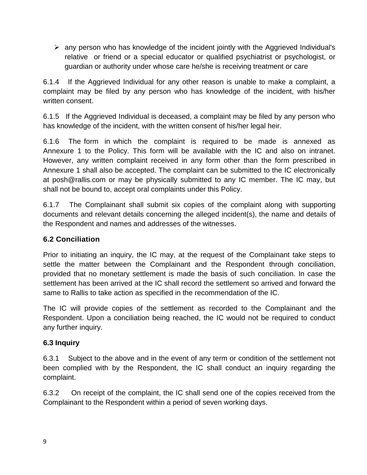$\triangleright$  any person who has knowledge of the incident jointly with the Aggrieved Individual's relative or friend or a special educator or qualified psychiatrist or psychologist, or guardian or authority under whose care he/she is receiving treatment or care

6.1.4 If the Aggrieved Individual for any other reason is unable to make a complaint, a complaint may be filed by any person who has knowledge of the incident, with his/her written consent.

6.1.5 If the Aggrieved Individual is deceased, a complaint may be filed by any person who has knowledge of the incident, with the written consent of his/her legal heir.

6.1.6 The form in which the complaint is required to be made is annexed as Annexure 1 to the Policy. This form will be available with the IC and also on intranet. However, any written complaint received in any form other than the form prescribed in Annexure 1 shall also be accepted. The complaint can be submitted to the IC electronically at posh@rallis.com or may be physically submitted to any IC member. The IC may, but shall not be bound to, accept oral complaints under this Policy.

6.1.7 The Complainant shall submit six copies of the complaint along with supporting documents and relevant details concerning the alleged incident(s), the name and details of the Respondent and names and addresses of the witnesses.

## **6.2 Conciliation**

Prior to initiating an inquiry, the IC may, at the request of the Complainant take steps to settle the matter between the Complainant and the Respondent through conciliation, provided that no monetary settlement is made the basis of such conciliation. In case the settlement has been arrived at the IC shall record the settlement so arrived and forward the same to Rallis to take action as specified in the recommendation of the IC.

The IC will provide copies of the settlement as recorded to the Complainant and the Respondent. Upon a conciliation being reached, the IC would not be required to conduct any further inquiry.

#### **6.3 Inquiry**

6.3.1 Subject to the above and in the event of any term or condition of the settlement not been complied with by the Respondent, the IC shall conduct an inquiry regarding the complaint.

6.3.2 On receipt of the complaint, the IC shall send one of the copies received from the Complainant to the Respondent within a period of seven working days.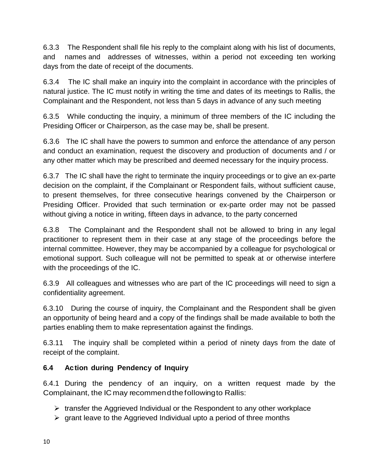6.3.3 The Respondent shall file his reply to the complaint along with his list of documents, and names and addresses of witnesses, within a period not exceeding ten working days from the date of receipt of the documents.

6.3.4 The IC shall make an inquiry into the complaint in accordance with the principles of natural justice. The IC must notify in writing the time and dates of its meetings to Rallis, the Complainant and the Respondent, not less than 5 days in advance of any such meeting

6.3.5 While conducting the inquiry, a minimum of three members of the IC including the Presiding Officer or Chairperson, as the case may be, shall be present.

6.3.6 The IC shall have the powers to summon and enforce the attendance of any person and conduct an examination, request the discovery and production of documents and / or any other matter which may be prescribed and deemed necessary for the inquiry process.

6.3.7 The IC shall have the right to terminate the inquiry proceedings or to give an ex-parte decision on the complaint, if the Complainant or Respondent fails, without sufficient cause, to present themselves, for three consecutive hearings convened by the Chairperson or Presiding Officer. Provided that such termination or ex-parte order may not be passed without giving a notice in writing, fifteen days in advance, to the party concerned

6.3.8 The Complainant and the Respondent shall not be allowed to bring in any legal practitioner to represent them in their case at any stage of the proceedings before the internal committee. However, they may be accompanied by a colleague for psychological or emotional support. Such colleague will not be permitted to speak at or otherwise interfere with the proceedings of the IC.

6.3.9 All colleagues and witnesses who are part of the IC proceedings will need to sign a confidentiality agreement.

6.3.10 During the course of inquiry, the Complainant and the Respondent shall be given an opportunity of being heard and a copy of the findings shall be made available to both the parties enabling them to make representation against the findings.

6.3.11 The inquiry shall be completed within a period of ninety days from the date of receipt of the complaint.

# **6.4 Action during Pendency of Inquiry**

6.4.1 During the pendency of an inquiry, on a written request made by the Complainant, the IC may recommendthefollowingto Rallis:

- $\triangleright$  transfer the Aggrieved Individual or the Respondent to any other workplace
- $\triangleright$  grant leave to the Aggrieved Individual upto a period of three months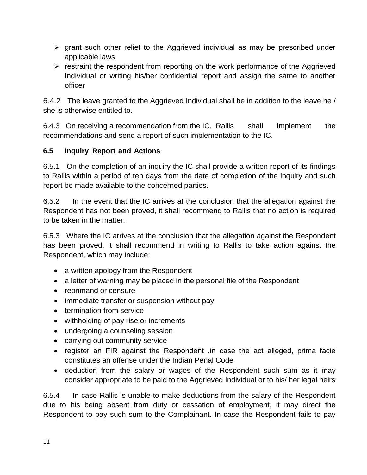- $\triangleright$  grant such other relief to the Aggrieved individual as may be prescribed under applicable laws
- $\triangleright$  restraint the respondent from reporting on the work performance of the Aggrieved Individual or writing his/her confidential report and assign the same to another officer

6.4.2 The leave granted to the Aggrieved Individual shall be in addition to the leave he / she is otherwise entitled to.

6.4.3 On receiving a recommendation from the IC, Rallis shall implement the recommendations and send a report of such implementation to the IC.

# **6.5 Inquiry Report and Actions**

6.5.1 On the completion of an inquiry the IC shall provide a written report of its findings to Rallis within a period of ten days from the date of completion of the inquiry and such report be made available to the concerned parties.

6.5.2 In the event that the IC arrives at the conclusion that the allegation against the Respondent has not been proved, it shall recommend to Rallis that no action is required to be taken in the matter.

6.5.3 Where the IC arrives at the conclusion that the allegation against the Respondent has been proved, it shall recommend in writing to Rallis to take action against the Respondent, which may include:

- a written apology from the Respondent
- a letter of warning may be placed in the personal file of the Respondent
- reprimand or censure
- immediate transfer or suspension without pay
- termination from service
- withholding of pay rise or increments
- undergoing a counseling session
- carrying out community service
- register an FIR against the Respondent .in case the act alleged, prima facie constitutes an offense under the Indian Penal Code
- deduction from the salary or wages of the Respondent such sum as it may consider appropriate to be paid to the Aggrieved Individual or to his/ her legal heirs

6.5.4 In case Rallis is unable to make deductions from the salary of the Respondent due to his being absent from duty or cessation of employment, it may direct the Respondent to pay such sum to the Complainant. In case the Respondent fails to pay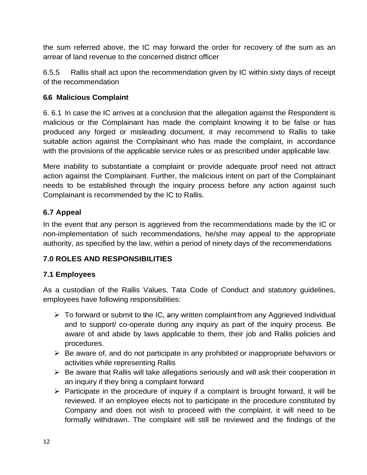the sum referred above, the IC may forward the order for recovery of the sum as an arrear of land revenue to the concerned district officer

6.5.5 Rallis shall act upon the recommendation given by IC within sixty days of receipt of the recommendation

# **6.6 Malicious Complaint**

6. 6.1 In case the IC arrives at a conclusion that the allegation against the Respondent is malicious or the Complainant has made the complaint knowing it to be false or has produced any forged or misleading document, it may recommend to Rallis to take suitable action against the Complainant who has made the complaint, in accordance with the provisions of the applicable service rules or as prescribed under applicable law.

Mere inability to substantiate a complaint or provide adequate proof need not attract action against the Complainant. Further, the malicious intent on part of the Complainant needs to be established through the inquiry process before any action against such Complainant is recommended by the IC to Rallis.

# **6.7 Appeal**

In the event that any person is aggrieved from the recommendations made by the IC or non-implementation of such recommendations, he/she may appeal to the appropriate authority, as specified by the law, within a period of ninety days of the recommendations

# **7.0 ROLES AND RESPONSIBILITIES**

# **7.1 Employees**

As a custodian of the Rallis Values, Tata Code of Conduct and statutory guidelines, employees have following responsibilities:

- $\triangleright$  To forward or submit to the IC, any written complaint from any Aggrieved Individual and to support/ co-operate during any inquiry as part of the inquiry process. Be aware of and abide by laws applicable to them, their job and Rallis policies and procedures.
- $\triangleright$  Be aware of, and do not participate in any prohibited or inappropriate behaviors or activities while representing Rallis
- $\triangleright$  Be aware that Rallis will take allegations seriously and will ask their cooperation in an inquiry if they bring a complaint forward
- $\triangleright$  Participate in the procedure of inquiry if a complaint is brought forward, it will be reviewed. If an employee elects not to participate in the procedure constituted by Company and does not wish to proceed with the complaint, it will need to be formally withdrawn. The complaint will still be reviewed and the findings of the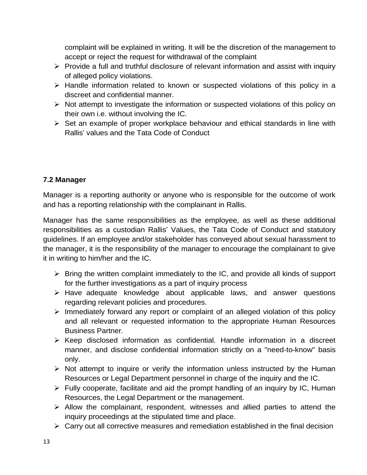complaint will be explained in writing. It will be the discretion of the management to accept or reject the request for withdrawal of the complaint

- $\triangleright$  Provide a full and truthful disclosure of relevant information and assist with inquiry of alleged policy violations.
- $\triangleright$  Handle information related to known or suspected violations of this policy in a discreet and confidential manner.
- $\triangleright$  Not attempt to investigate the information or suspected violations of this policy on their own i.e. without involving the IC.
- $\triangleright$  Set an example of proper workplace behaviour and ethical standards in line with Rallis' values and the Tata Code of Conduct

# **7.2 Manager**

Manager is a reporting authority or anyone who is responsible for the outcome of work and has a reporting relationship with the complainant in Rallis.

Manager has the same responsibilities as the employee, as well as these additional responsibilities as a custodian Rallis' Values, the Tata Code of Conduct and statutory guidelines. If an employee and/or stakeholder has conveyed about sexual harassment to the manager, it is the responsibility of the manager to encourage the complainant to give it in writing to him/her and the IC.

- $\triangleright$  Bring the written complaint immediately to the IC, and provide all kinds of support for the further investigations as a part of inquiry process
- $\triangleright$  Have adequate knowledge about applicable laws, and answer questions regarding relevant policies and procedures.
- $\triangleright$  Immediately forward any report or complaint of an alleged violation of this policy and all relevant or requested information to the appropriate Human Resources Business Partner.
- $\triangleright$  Keep disclosed information as confidential. Handle information in a discreet manner, and disclose confidential information strictly on a "need-to-know" basis only.
- $\triangleright$  Not attempt to inquire or verify the information unless instructed by the Human Resources or Legal Department personnel in charge of the inquiry and the IC.
- $\triangleright$  Fully cooperate, facilitate and aid the prompt handling of an inquiry by IC, Human Resources, the Legal Department or the management.
- $\triangleright$  Allow the complainant, respondent, witnesses and allied parties to attend the inquiry proceedings at the stipulated time and place.
- $\triangleright$  Carry out all corrective measures and remediation established in the final decision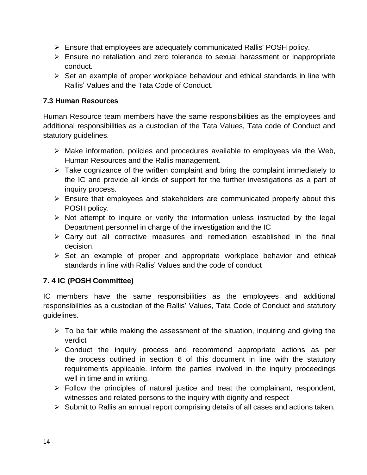- Ensure that employees are adequately communicated Rallis' POSH policy.
- Ensure no retaliation and zero tolerance to sexual harassment or inappropriate conduct.
- $\triangleright$  Set an example of proper workplace behaviour and ethical standards in line with Rallis' Values and the Tata Code of Conduct.

#### **7.3 Human Resources**

Human Resource team members have the same responsibilities as the employees and additional responsibilities as a custodian of the Tata Values, Tata code of Conduct and statutory guidelines.

- $\triangleright$  Make information, policies and procedures available to employees via the Web, Human Resources and the Rallis management.
- $\triangleright$  Take cognizance of the written complaint and bring the complaint immediately to the IC and provide all kinds of support for the further investigations as a part of inquiry process.
- $\triangleright$  Ensure that employees and stakeholders are communicated properly about this POSH policy.
- $\triangleright$  Not attempt to inquire or verify the information unless instructed by the legal Department personnel in charge of the investigation and the IC
- $\triangleright$  Carry out all corrective measures and remediation established in the final decision.
- $\triangleright$  Set an example of proper and appropriate workplace behavior and ethical standards in line with Rallis' Values and the code of conduct

# **7. 4 IC (POSH Committee)**

IC members have the same responsibilities as the employees and additional responsibilities as a custodian of the Rallis' Values, Tata Code of Conduct and statutory guidelines.

- $\triangleright$  To be fair while making the assessment of the situation, inquiring and giving the verdict
- $\triangleright$  Conduct the inquiry process and recommend appropriate actions as per the process outlined in section 6 of this document in line with the statutory requirements applicable. Inform the parties involved in the inquiry proceedings well in time and in writing.
- $\triangleright$  Follow the principles of natural justice and treat the complainant, respondent, witnesses and related persons to the inquiry with dignity and respect
- $\triangleright$  Submit to Rallis an annual report comprising details of all cases and actions taken.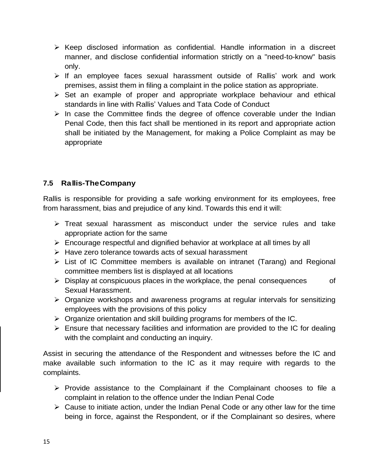- $\triangleright$  Keep disclosed information as confidential. Handle information in a discreet manner, and disclose confidential information strictly on a "need-to-know" basis only.
- $\triangleright$  If an employee faces sexual harassment outside of Rallis' work and work premises, assist them in filing a complaint in the police station as appropriate.
- $\triangleright$  Set an example of proper and appropriate workplace behaviour and ethical standards in line with Rallis' Values and Tata Code of Conduct
- $\triangleright$  In case the Committee finds the degree of offence coverable under the Indian Penal Code, then this fact shall be mentioned in its report and appropriate action shall be initiated by the Management, for making a Police Complaint as may be appropriate

# **7.5 Rallis-TheCompany**

Rallis is responsible for providing a safe working environment for its employees, free from harassment, bias and prejudice of any kind. Towards this end it will:

- $\triangleright$  Treat sexual harassment as misconduct under the service rules and take appropriate action for the same
- $\triangleright$  Encourage respectful and dignified behavior at workplace at all times by all
- $\triangleright$  Have zero tolerance towards acts of sexual harassment
- List of IC Committee members is available on intranet (Tarang) and Regional committee members list is displayed at all locations
- $\triangleright$  Display at conspicuous places in the workplace, the penal consequences of Sexual Harassment.
- $\triangleright$  Organize workshops and awareness programs at regular intervals for sensitizing employees with the provisions of this policy
- $\triangleright$  Organize orientation and skill building programs for members of the IC.
- $\triangleright$  Ensure that necessary facilities and information are provided to the IC for dealing with the complaint and conducting an inquiry.

Assist in securing the attendance of the Respondent and witnesses before the IC and make available such information to the IC as it may require with regards to the complaints.

- $\triangleright$  Provide assistance to the Complainant if the Complainant chooses to file a complaint in relation to the offence under the Indian Penal Code
- $\triangleright$  Cause to initiate action, under the Indian Penal Code or any other law for the time being in force, against the Respondent, or if the Complainant so desires, where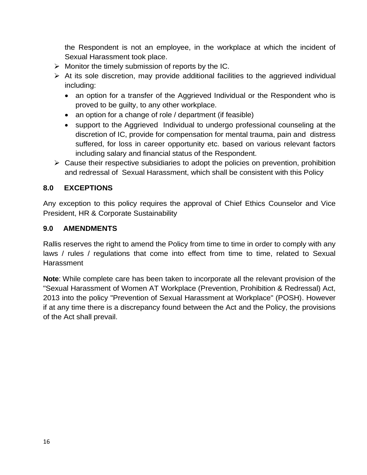the Respondent is not an employee, in the workplace at which the incident of Sexual Harassment took place.

- $\triangleright$  Monitor the timely submission of reports by the IC.
- $\triangleright$  At its sole discretion, may provide additional facilities to the aggrieved individual including:
	- an option for a transfer of the Aggrieved Individual or the Respondent who is proved to be guilty, to any other workplace.
	- an option for a change of role / department (if feasible)
	- support to the Aggrieved Individual to undergo professional counseling at the discretion of IC, provide for compensation for mental trauma, pain and distress suffered, for loss in career opportunity etc. based on various relevant factors including salary and financial status of the Respondent.
- $\triangleright$  Cause their respective subsidiaries to adopt the policies on prevention, prohibition and redressal of Sexual Harassment, which shall be consistent with this Policy

## **8.0 EXCEPTIONS**

Any exception to this policy requires the approval of Chief Ethics Counselor and Vice President, HR & Corporate Sustainability

#### **9.0 AMENDMENTS**

Rallis reserves the right to amend the Policy from time to time in order to comply with any laws / rules / regulations that come into effect from time to time, related to Sexual **Harassment** 

**Note**: While complete care has been taken to incorporate all the relevant provision of the "Sexual Harassment of Women AT Workplace (Prevention, Prohibition & Redressal) Act, 2013 into the policy "Prevention of Sexual Harassment at Workplace" (POSH). However if at any time there is a discrepancy found between the Act and the Policy, the provisions of the Act shall prevail.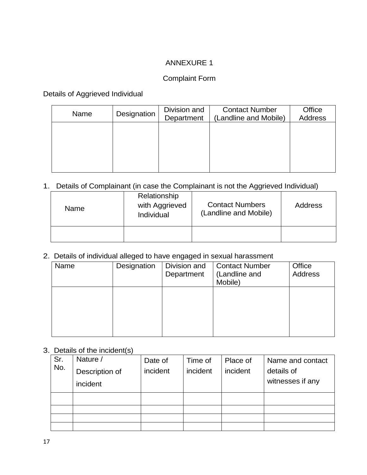## ANNEXURE 1

## Complaint Form

Details of Aggrieved Individual

| Name | Designation | Division and<br>Department | <b>Contact Number</b><br>(Landline and Mobile) | Office<br><b>Address</b> |
|------|-------------|----------------------------|------------------------------------------------|--------------------------|
|      |             |                            |                                                |                          |
|      |             |                            |                                                |                          |
|      |             |                            |                                                |                          |

## 1. Details of Complainant (in case the Complainant is not the Aggrieved Individual)

| <b>Name</b> | Relationship<br>with Aggrieved<br>Individual | <b>Contact Numbers</b><br>(Landline and Mobile) | Address |
|-------------|----------------------------------------------|-------------------------------------------------|---------|
|             |                                              |                                                 |         |

## 2. Details of individual alleged to have engaged in sexual harassment

| Name | Designation | Division and<br>Department | <b>Contact Number</b><br>(Landline and<br>Mobile) | Office<br><b>Address</b> |
|------|-------------|----------------------------|---------------------------------------------------|--------------------------|
|      |             |                            |                                                   |                          |
|      |             |                            |                                                   |                          |

#### 3. Details of the incident(s)

| Sr. | Nature /       | Date of  | Time of  | Place of | Name and contact |
|-----|----------------|----------|----------|----------|------------------|
| No. | Description of | incident | incident | incident | details of       |
|     | incident       |          |          |          | witnesses if any |
|     |                |          |          |          |                  |
|     |                |          |          |          |                  |
|     |                |          |          |          |                  |
|     |                |          |          |          |                  |
|     |                |          |          |          |                  |